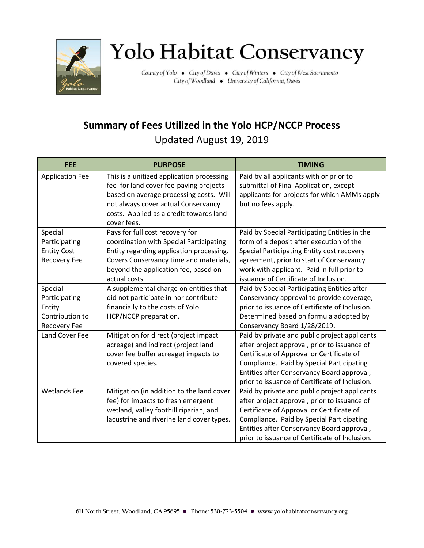

## Yolo Habitat Conservancy

County of Yolo . City of Davis . City of Winters . City of West Sacramento City of Woodland . University of California, Davis

## **Summary of Fees Utilized in the Yolo HCP/NCCP Process**  Updated August 19, 2019

| <b>FEE</b>             | <b>PURPOSE</b>                            | <b>TIMING</b>                                  |
|------------------------|-------------------------------------------|------------------------------------------------|
| <b>Application Fee</b> | This is a unitized application processing | Paid by all applicants with or prior to        |
|                        | fee for land cover fee-paying projects    | submittal of Final Application, except         |
|                        | based on average processing costs. Will   | applicants for projects for which AMMs apply   |
|                        | not always cover actual Conservancy       | but no fees apply.                             |
|                        | costs. Applied as a credit towards land   |                                                |
|                        | cover fees.                               |                                                |
| Special                | Pays for full cost recovery for           | Paid by Special Participating Entities in the  |
| Participating          | coordination with Special Participating   | form of a deposit after execution of the       |
| <b>Entity Cost</b>     | Entity regarding application processing.  | Special Participating Entity cost recovery     |
| <b>Recovery Fee</b>    | Covers Conservancy time and materials,    | agreement, prior to start of Conservancy       |
|                        | beyond the application fee, based on      | work with applicant. Paid in full prior to     |
|                        | actual costs.                             | issuance of Certificate of Inclusion.          |
| Special                | A supplemental charge on entities that    | Paid by Special Participating Entities after   |
| Participating          | did not participate in nor contribute     | Conservancy approval to provide coverage,      |
| Entity                 | financially to the costs of Yolo          | prior to issuance of Certificate of Inclusion. |
| Contribution to        | HCP/NCCP preparation.                     | Determined based on formula adopted by         |
| Recovery Fee           |                                           | Conservancy Board 1/28/2019.                   |
| Land Cover Fee         | Mitigation for direct (project impact     | Paid by private and public project applicants  |
|                        | acreage) and indirect (project land       | after project approval, prior to issuance of   |
|                        | cover fee buffer acreage) impacts to      | Certificate of Approval or Certificate of      |
|                        | covered species.                          | Compliance. Paid by Special Participating      |
|                        |                                           | Entities after Conservancy Board approval,     |
|                        |                                           | prior to issuance of Certificate of Inclusion. |
| <b>Wetlands Fee</b>    | Mitigation (in addition to the land cover | Paid by private and public project applicants  |
|                        | fee) for impacts to fresh emergent        | after project approval, prior to issuance of   |
|                        | wetland, valley foothill riparian, and    | Certificate of Approval or Certificate of      |
|                        | lacustrine and riverine land cover types. | Compliance. Paid by Special Participating      |
|                        |                                           | Entities after Conservancy Board approval,     |
|                        |                                           | prior to issuance of Certificate of Inclusion. |